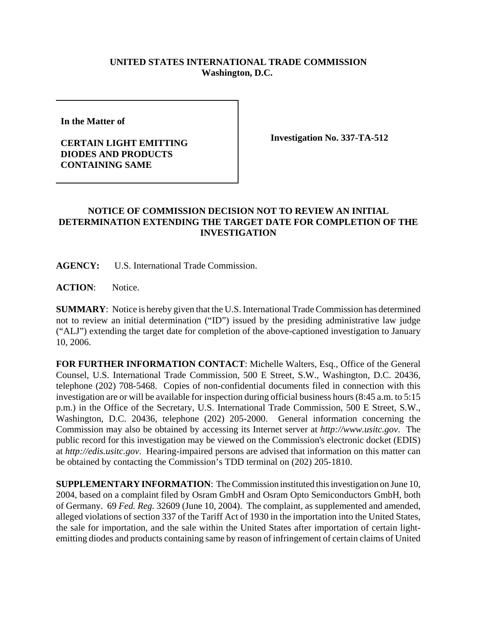## **UNITED STATES INTERNATIONAL TRADE COMMISSION Washington, D.C.**

**In the Matter of**

## **CERTAIN LIGHT EMITTING DIODES AND PRODUCTS CONTAINING SAME**

**Investigation No. 337-TA-512**

## **NOTICE OF COMMISSION DECISION NOT TO REVIEW AN INITIAL DETERMINATION EXTENDING THE TARGET DATE FOR COMPLETION OF THE INVESTIGATION**

**AGENCY:** U.S. International Trade Commission.

**ACTION**: Notice.

**SUMMARY**: Notice is hereby given that the U.S. International Trade Commission has determined not to review an initial determination ("ID") issued by the presiding administrative law judge ("ALJ") extending the target date for completion of the above-captioned investigation to January 10, 2006.

**FOR FURTHER INFORMATION CONTACT**: Michelle Walters, Esq., Office of the General Counsel, U.S. International Trade Commission, 500 E Street, S.W., Washington, D.C. 20436, telephone (202) 708-5468. Copies of non-confidential documents filed in connection with this investigation are or will be available for inspection during official business hours (8:45 a.m. to 5:15 p.m.) in the Office of the Secretary, U.S. International Trade Commission, 500 E Street, S.W., Washington, D.C. 20436, telephone (202) 205-2000. General information concerning the Commission may also be obtained by accessing its Internet server at *http://www.usitc.gov*. The public record for this investigation may be viewed on the Commission's electronic docket (EDIS) at *http://edis.usitc.gov*. Hearing-impaired persons are advised that information on this matter can be obtained by contacting the Commission's TDD terminal on (202) 205-1810.

**SUPPLEMENTARY INFORMATION**: The Commission instituted this investigation on June 10, 2004, based on a complaint filed by Osram GmbH and Osram Opto Semiconductors GmbH, both of Germany. 69 *Fed. Reg.* 32609 (June 10, 2004). The complaint, as supplemented and amended, alleged violations of section 337 of the Tariff Act of 1930 in the importation into the United States, the sale for importation, and the sale within the United States after importation of certain lightemitting diodes and products containing same by reason of infringement of certain claims of United